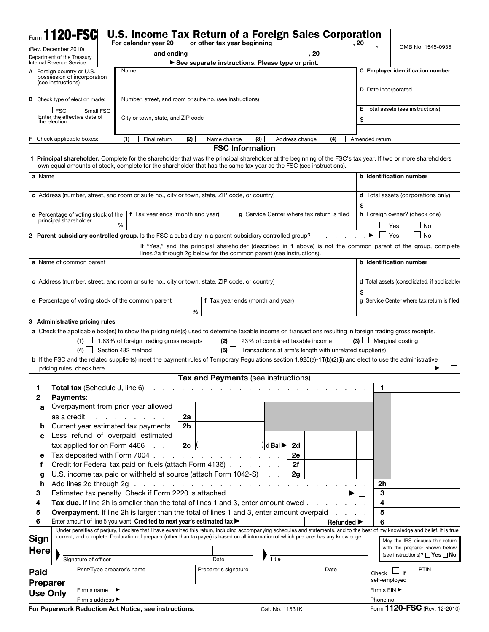|                 |                                                        | Form 1120-FSC                                                         | <b>U.S. Income Tax Return of a Foreign Sales Corporation</b><br>For calendar year 20                                                                                                                                                                                               |                                   | or other tax year beginning                      |                        |                                         |                |                                                                                                                |                |                                 |                            |                                              |  |  |  |  |
|-----------------|--------------------------------------------------------|-----------------------------------------------------------------------|------------------------------------------------------------------------------------------------------------------------------------------------------------------------------------------------------------------------------------------------------------------------------------|-----------------------------------|--------------------------------------------------|------------------------|-----------------------------------------|----------------|----------------------------------------------------------------------------------------------------------------|----------------|---------------------------------|----------------------------|----------------------------------------------|--|--|--|--|
|                 | (Rev. December 2010)                                   |                                                                       | and ending                                                                                                                                                                                                                                                                         |                                   |                                                  |                        |                                         |                | , 20                                                                                                           |                |                                 |                            | OMB No. 1545-0935                            |  |  |  |  |
|                 | Department of the Treasury<br>Internal Revenue Service |                                                                       |                                                                                                                                                                                                                                                                                    |                                   | See separate instructions. Please type or print. |                        |                                         |                |                                                                                                                |                |                                 |                            |                                              |  |  |  |  |
|                 | A Foreign country or U.S.<br>(see instructions)        | possession of incorporation                                           | Name                                                                                                                                                                                                                                                                               |                                   |                                                  |                        |                                         |                |                                                                                                                |                |                                 |                            | C Employer identification number             |  |  |  |  |
|                 |                                                        | <b>B</b> Check type of election made:                                 |                                                                                                                                                                                                                                                                                    |                                   |                                                  |                        |                                         |                |                                                                                                                |                |                                 | <b>D</b> Date incorporated |                                              |  |  |  |  |
|                 | <b>FSC</b>                                             | Number, street, and room or suite no. (see instructions)<br>Small FSC |                                                                                                                                                                                                                                                                                    |                                   |                                                  |                        |                                         |                |                                                                                                                |                |                                 |                            | <b>E</b> Total assets (see instructions)     |  |  |  |  |
|                 | the election:                                          | Enter the effective date of                                           |                                                                                                                                                                                                                                                                                    | City or town, state, and ZIP code |                                                  |                        |                                         |                |                                                                                                                |                |                                 | \$                         |                                              |  |  |  |  |
| F.              |                                                        | Check applicable boxes:                                               | (1)<br>Final return                                                                                                                                                                                                                                                                | (2)                               | Name change                                      | (3)                    |                                         | Address change | (4)                                                                                                            | Amended return |                                 |                            |                                              |  |  |  |  |
|                 |                                                        |                                                                       |                                                                                                                                                                                                                                                                                    |                                   |                                                  | <b>FSC Information</b> |                                         |                |                                                                                                                |                |                                 |                            |                                              |  |  |  |  |
|                 |                                                        |                                                                       | 1 Principal shareholder. Complete for the shareholder that was the principal shareholder at the beginning of the FSC's tax year. If two or more shareholders<br>own equal amounts of stock, complete for the shareholder that has the same tax year as the FSC (see instructions). |                                   |                                                  |                        |                                         |                |                                                                                                                |                |                                 |                            |                                              |  |  |  |  |
| a Name          |                                                        |                                                                       |                                                                                                                                                                                                                                                                                    |                                   |                                                  |                        |                                         |                |                                                                                                                |                |                                 | b Identification number    |                                              |  |  |  |  |
|                 |                                                        |                                                                       | c Address (number, street, and room or suite no., city or town, state, ZIP code, or country)                                                                                                                                                                                       |                                   |                                                  |                        |                                         |                |                                                                                                                |                |                                 |                            | <b>d</b> Total assets (corporations only)    |  |  |  |  |
|                 |                                                        | e Percentage of voting stock of the                                   | f Tax year ends (month and year)                                                                                                                                                                                                                                                   |                                   |                                                  |                        |                                         |                | g Service Center where tax return is filed                                                                     | S              |                                 |                            | h Foreign owner? (check one)                 |  |  |  |  |
|                 | principal shareholder                                  |                                                                       | %                                                                                                                                                                                                                                                                                  |                                   |                                                  |                        |                                         |                |                                                                                                                |                |                                 | Yes                        | No                                           |  |  |  |  |
|                 |                                                        |                                                                       | 2 Parent-subsidiary controlled group. Is the FSC a subsidiary in a parent-subsidiary controlled group?                                                                                                                                                                             |                                   |                                                  |                        |                                         |                |                                                                                                                |                |                                 | Yes                        | No                                           |  |  |  |  |
|                 |                                                        |                                                                       | lines 2a through 2g below for the common parent (see instructions).                                                                                                                                                                                                                |                                   |                                                  |                        |                                         |                | If "Yes," and the principal shareholder (described in 1 above) is not the common parent of the group, complete |                |                                 |                            |                                              |  |  |  |  |
|                 |                                                        | a Name of common parent                                               |                                                                                                                                                                                                                                                                                    |                                   |                                                  |                        |                                         |                |                                                                                                                |                |                                 | b Identification number    |                                              |  |  |  |  |
|                 |                                                        |                                                                       | c Address (number, street, and room or suite no., city or town, state, ZIP code, or country)                                                                                                                                                                                       |                                   |                                                  |                        |                                         |                |                                                                                                                |                |                                 |                            | d Total assets (consolidated, if applicable) |  |  |  |  |
|                 |                                                        |                                                                       | e Percentage of voting stock of the common parent                                                                                                                                                                                                                                  |                                   | f Tax year ends (month and year)                 |                        |                                         |                |                                                                                                                | \$             |                                 |                            | g Service Center where tax return is filed   |  |  |  |  |
|                 |                                                        |                                                                       |                                                                                                                                                                                                                                                                                    | %                                 |                                                  |                        |                                         |                |                                                                                                                |                |                                 |                            |                                              |  |  |  |  |
|                 |                                                        | $(4)$  <br>pricing rules, check here                                  | $(1)$ 1.83% of foreign trading gross receipts<br>Section 482 method<br><b>b</b> If the FSC and the related supplier(s) meet the payment rules of Temporary Regulations section 1.925(a)-1T(b)(2)(ii) and elect to use the administrative                                           |                                   | $(2)$ $\Box$<br>$(5)$ $\Box$                     |                        |                                         |                | 23% of combined taxable income<br>Transactions at arm's length with unrelated supplier(s)                      |                |                                 | $(3)$ Marginal costing     |                                              |  |  |  |  |
|                 |                                                        |                                                                       |                                                                                                                                                                                                                                                                                    |                                   | Tax and Payments (see instructions)              |                        |                                         |                |                                                                                                                |                |                                 |                            |                                              |  |  |  |  |
| 1               |                                                        | Total tax (Schedule J, line 6)                                        |                                                                                                                                                                                                                                                                                    |                                   |                                                  |                        |                                         |                |                                                                                                                |                | 1                               |                            |                                              |  |  |  |  |
| 2               | <b>Payments:</b>                                       |                                                                       |                                                                                                                                                                                                                                                                                    |                                   |                                                  |                        |                                         |                |                                                                                                                |                |                                 |                            |                                              |  |  |  |  |
| a               |                                                        |                                                                       | Overpayment from prior year allowed                                                                                                                                                                                                                                                |                                   |                                                  |                        |                                         |                |                                                                                                                |                |                                 |                            |                                              |  |  |  |  |
|                 | as a credit                                            |                                                                       | and a state of the state of the                                                                                                                                                                                                                                                    | 2a                                |                                                  |                        |                                         |                |                                                                                                                |                |                                 |                            |                                              |  |  |  |  |
| b               |                                                        |                                                                       | Current year estimated tax payments                                                                                                                                                                                                                                                | 2 <sub>b</sub>                    |                                                  |                        |                                         |                |                                                                                                                |                |                                 |                            |                                              |  |  |  |  |
| с               |                                                        |                                                                       | Less refund of overpaid estimated<br>tax applied for on Form 4466                                                                                                                                                                                                                  | 2 <sub>c</sub>                    |                                                  |                        | $\parallel$ d Bal $\blacktriangleright$ | 2d             |                                                                                                                |                |                                 |                            |                                              |  |  |  |  |
| е               |                                                        |                                                                       | Tax deposited with Form 7004.                                                                                                                                                                                                                                                      |                                   | the contract of the contract of the contract of  |                        |                                         | 2e             |                                                                                                                |                |                                 |                            |                                              |  |  |  |  |
| f               |                                                        |                                                                       | Credit for Federal tax paid on fuels (attach Form 4136)                                                                                                                                                                                                                            |                                   |                                                  |                        |                                         | 2f             |                                                                                                                |                |                                 |                            |                                              |  |  |  |  |
| g               |                                                        |                                                                       | U.S. income tax paid or withheld at source (attach Form 1042-S)                                                                                                                                                                                                                    |                                   |                                                  |                        |                                         | 2g             |                                                                                                                |                |                                 |                            |                                              |  |  |  |  |
| h               |                                                        |                                                                       |                                                                                                                                                                                                                                                                                    |                                   |                                                  |                        |                                         |                |                                                                                                                |                | 2 <sub>h</sub>                  |                            |                                              |  |  |  |  |
| 3               |                                                        |                                                                       | Estimated tax penalty. Check if Form 2220 is attached                                                                                                                                                                                                                              |                                   |                                                  |                        |                                         |                |                                                                                                                |                | 3                               |                            |                                              |  |  |  |  |
| 4               |                                                        |                                                                       | Tax due. If line 2h is smaller than the total of lines 1 and 3, enter amount owed                                                                                                                                                                                                  |                                   |                                                  |                        |                                         |                |                                                                                                                |                | 4                               |                            |                                              |  |  |  |  |
| 5               |                                                        |                                                                       | Overpayment. If line 2h is larger than the total of lines 1 and 3, enter amount overpaid                                                                                                                                                                                           |                                   |                                                  |                        |                                         |                |                                                                                                                |                | 5                               |                            |                                              |  |  |  |  |
| 6               |                                                        |                                                                       | Enter amount of line 5 you want: Credited to next year's estimated tax                                                                                                                                                                                                             |                                   |                                                  |                        |                                         |                | <b>Refunded</b> ▶                                                                                              |                | 6                               |                            |                                              |  |  |  |  |
|                 |                                                        |                                                                       | Under penalties of perjury, I declare that I have examined this return, including accompanying schedules and statements, and to the best of my knowledge and belief, it is true,                                                                                                   |                                   |                                                  |                        |                                         |                |                                                                                                                |                |                                 |                            |                                              |  |  |  |  |
| Sign            |                                                        |                                                                       | correct, and complete. Declaration of preparer (other than taxpayer) is based on all information of which preparer has any knowledge.                                                                                                                                              |                                   |                                                  |                        |                                         |                |                                                                                                                |                |                                 |                            | May the IRS discuss this return              |  |  |  |  |
| <b>Here</b>     |                                                        |                                                                       |                                                                                                                                                                                                                                                                                    |                                   |                                                  |                        |                                         |                |                                                                                                                |                |                                 |                            | with the preparer shown below                |  |  |  |  |
|                 |                                                        | Signature of officer                                                  |                                                                                                                                                                                                                                                                                    |                                   | Date                                             |                        | Title                                   |                |                                                                                                                |                |                                 |                            | (see instructions)? $\Box$ Yes $\Box$ No     |  |  |  |  |
|                 |                                                        | Print/Type preparer's name                                            |                                                                                                                                                                                                                                                                                    |                                   | Preparer's signature                             |                        |                                         |                | Date                                                                                                           |                |                                 |                            | <b>PTIN</b>                                  |  |  |  |  |
| Paid            |                                                        |                                                                       |                                                                                                                                                                                                                                                                                    |                                   |                                                  |                        |                                         |                |                                                                                                                |                | $Check$ $\Box$<br>self-employed | if                         |                                              |  |  |  |  |
| <b>Preparer</b> |                                                        | Firm's name                                                           | ▸                                                                                                                                                                                                                                                                                  |                                   |                                                  |                        |                                         |                |                                                                                                                |                | Firm's EIN ▶                    |                            |                                              |  |  |  |  |
| <b>Use Only</b> |                                                        | Firm's address ▶                                                      |                                                                                                                                                                                                                                                                                    |                                   |                                                  |                        |                                         |                |                                                                                                                |                | Phone no.                       |                            |                                              |  |  |  |  |
|                 |                                                        |                                                                       | For Paperwork Reduction Act Notice, see instructions.                                                                                                                                                                                                                              |                                   |                                                  |                        | Cat. No. 11531K                         |                |                                                                                                                |                |                                 |                            | Form 1120-FSC (Rev. 12-2010)                 |  |  |  |  |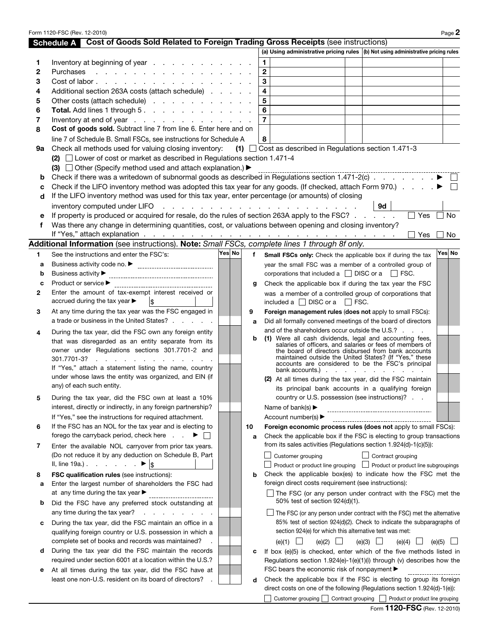|        | Form 1120-FSC (Rev. 12-2010)                                                                                                                         |        |              |                                         |                                                                      |  |                                                                                                             | Page 2 |
|--------|------------------------------------------------------------------------------------------------------------------------------------------------------|--------|--------------|-----------------------------------------|----------------------------------------------------------------------|--|-------------------------------------------------------------------------------------------------------------|--------|
|        | Schedule A Cost of Goods Sold Related to Foreign Trading Gross Receipts (see instructions)                                                           |        |              |                                         |                                                                      |  |                                                                                                             |        |
|        |                                                                                                                                                      |        |              |                                         |                                                                      |  | (a) Using administrative pricing rules (b) Not using administrative pricing rules                           |        |
| 1      | Inventory at beginning of year $\ldots$ $\ldots$ $\ldots$ $\ldots$ $\ldots$                                                                          |        |              | 1                                       |                                                                      |  |                                                                                                             |        |
| 2      | Purchases                                                                                                                                            |        |              | $\overline{\mathbf{2}}$                 |                                                                      |  |                                                                                                             |        |
| 3      | Cost of labor                                                                                                                                        |        |              | $\mathbf{3}$<br>$\overline{\mathbf{4}}$ |                                                                      |  |                                                                                                             |        |
| 4      | Additional section 263A costs (attach schedule)                                                                                                      |        |              | 5                                       |                                                                      |  |                                                                                                             |        |
| 5      | Other costs (attach schedule)                                                                                                                        |        |              | $6\phantom{a}$                          |                                                                      |  |                                                                                                             |        |
| 6      | Total. Add lines 1 through 5.                                                                                                                        |        |              | $\overline{7}$                          |                                                                      |  |                                                                                                             |        |
| 7<br>8 | Inventory at end of year $\ldots$ $\ldots$ $\ldots$ $\ldots$ $\ldots$ $\ldots$<br>Cost of goods sold. Subtract line 7 from line 6. Enter here and on |        |              |                                         |                                                                      |  |                                                                                                             |        |
|        |                                                                                                                                                      |        |              |                                         |                                                                      |  |                                                                                                             |        |
| 9а     | line 7 of Schedule B. Small FSCs, see instructions for Schedule A<br>Check all methods used for valuing closing inventory:                           |        |              | 8                                       | $(1)$ $\Box$ Cost as described in Regulations section 1.471-3        |  |                                                                                                             |        |
|        | (2) $\Box$ Lower of cost or market as described in Regulations section 1.471-4                                                                       |        |              |                                         |                                                                      |  |                                                                                                             |        |
|        | (3) $\Box$ Other (Specify method used and attach explanation.) $\blacktriangleright$                                                                 |        |              |                                         |                                                                      |  |                                                                                                             |        |
| b      | Check if there was a writedown of subnormal goods as described in Regulations section 1.471-2(c) $\ldots$ $\ldots$ $\ldots$                          |        |              |                                         |                                                                      |  |                                                                                                             |        |
| с      | Check if the LIFO inventory method was adopted this tax year for any goods. (If checked, attach Form 970.) $\blacksquare$                            |        |              |                                         |                                                                      |  |                                                                                                             |        |
| d      | If the LIFO inventory method was used for this tax year, enter percentage (or amounts) of closing                                                    |        |              |                                         |                                                                      |  |                                                                                                             |        |
|        |                                                                                                                                                      |        |              |                                         |                                                                      |  | 9d                                                                                                          |        |
|        | If property is produced or acquired for resale, do the rules of section 263A apply to the FSC?                                                       |        |              |                                         |                                                                      |  | $\Box$ Yes $\Box$ No                                                                                        |        |
| f      | Was there any change in determining quantities, cost, or valuations between opening and closing inventory?                                           |        |              |                                         |                                                                      |  |                                                                                                             |        |
|        | If "Yes," attach explanation $\ldots$ $\ldots$ $\ldots$ $\ldots$ $\ldots$ $\ldots$ $\ldots$ $\ldots$ $\ldots$ $\ldots$ $\ldots$                      |        |              |                                         |                                                                      |  | ∣∣Yes                                                                                                       | ∣No    |
|        | Additional Information (see instructions). Note: Small FSCs, complete lines 1 through 8f only.                                                       |        |              |                                         |                                                                      |  |                                                                                                             |        |
| 1      | See the instructions and enter the FSC's:                                                                                                            | Yes No | $\mathbf{f}$ |                                         | Small FSCs only: Check the applicable box if during the tax          |  |                                                                                                             | Yes No |
| а      |                                                                                                                                                      |        |              |                                         | year the small FSC was a member of a controlled group of             |  |                                                                                                             |        |
| b      |                                                                                                                                                      |        |              |                                         | corporations that included a $\Box$ DISC or a $\Box$ FSC.            |  |                                                                                                             |        |
| c      | Product or service ▶                                                                                                                                 |        | g            |                                         | Check the applicable box if during the tax year the FSC              |  |                                                                                                             |        |
| 2      | Enter the amount of tax-exempt interest received or                                                                                                  |        |              |                                         | was a member of a controlled group of corporations that              |  |                                                                                                             |        |
|        | accrued during the tax year $\blacktriangleright$<br>∣\$                                                                                             |        |              |                                         | included a $\Box$ DISC or a $\Box$ FSC.                              |  |                                                                                                             |        |
| 3      | At any time during the tax year was the FSC engaged in                                                                                               |        | 9            |                                         | Foreign management rules (does not apply to small FSCs):             |  |                                                                                                             |        |
|        | a trade or business in the United States?                                                                                                            |        | a            |                                         | Did all formally convened meetings of the board of directors         |  |                                                                                                             |        |
| 4      | During the tax year, did the FSC own any foreign entity                                                                                              |        |              |                                         | and of the shareholders occur outside the U.S.?                      |  |                                                                                                             |        |
|        | that was disregarded as an entity separate from its                                                                                                  |        | b            |                                         | (1) Were all cash dividends, legal and accounting fees,              |  | salaries of officers, and salaries or fees of members of                                                    |        |
|        | owner under Regulations sections 301.7701-2 and                                                                                                      |        |              |                                         |                                                                      |  | the board of directors disbursed from bank accounts                                                         |        |
|        |                                                                                                                                                      |        |              |                                         |                                                                      |  | maintained outside the United States? (If "Yes," these<br>accounts are considered to be the FSC's principal |        |
|        | If "Yes," attach a statement listing the name, country                                                                                               |        |              |                                         | bank accounts.) $\cdots$ $\cdots$                                    |  |                                                                                                             |        |
|        | under whose laws the entity was organized, and EIN (if<br>any) of each such entity.                                                                  |        |              |                                         | (2) At all times during the tax year, did the FSC maintain           |  |                                                                                                             |        |
|        |                                                                                                                                                      |        |              |                                         | its principal bank accounts in a qualifying foreign                  |  |                                                                                                             |        |
| 5      | During the tax year, did the FSC own at least a 10%                                                                                                  |        |              |                                         | country or U.S. possession (see instructions)?                       |  |                                                                                                             |        |
|        | interest, directly or indirectly, in any foreign partnership?                                                                                        |        |              |                                         | Name of bank(s) $\blacktriangleright$                                |  |                                                                                                             |        |
|        | If "Yes," see the instructions for required attachment.                                                                                              |        |              |                                         | Account number(s) $\blacktriangleright$                              |  |                                                                                                             |        |
| 6      | If the FSC has an NOL for the tax year and is electing to<br>forego the carryback period, check here $\qquad \qquad \blacktriangleright$             |        | 10           |                                         |                                                                      |  | Foreign economic process rules (does not apply to small FSCs):                                              |        |
|        |                                                                                                                                                      |        | a            |                                         | from its sales activities (Regulations section $1.924(d)-1(c)(5)$ ): |  | Check the applicable box if the FSC is electing to group transactions                                       |        |
| 7      | Enter the available NOL carryover from prior tax years.<br>(Do not reduce it by any deduction on Schedule B, Part                                    |        |              |                                         | Customer grouping                                                    |  | $\Box$ Contract grouping                                                                                    |        |
|        | II, line 19a.) ▶ $\$\}$                                                                                                                              |        |              |                                         |                                                                      |  | Product or product line grouping $\Box$ Product or product line subgroupings                                |        |
| 8      | <b>FSC qualification rules (see instructions):</b>                                                                                                   |        | b            |                                         |                                                                      |  | Check the applicable box(es) to indicate how the FSC met the                                                |        |
| а      | Enter the largest number of shareholders the FSC had                                                                                                 |        |              |                                         | foreign direct costs requirement (see instructions):                 |  |                                                                                                             |        |
|        | at any time during the tax year ▶                                                                                                                    |        |              |                                         |                                                                      |  | The FSC (or any person under contract with the FSC) met the                                                 |        |
| b      | Did the FSC have any preferred stock outstanding at                                                                                                  |        |              |                                         | 50% test of section 924(d)(1).                                       |  |                                                                                                             |        |
|        | any time during the tax year?<br>the contract of the contract of                                                                                     |        |              |                                         |                                                                      |  | $\Box$ The FSC (or any person under contract with the FSC) met the alternative                              |        |
| c      | During the tax year, did the FSC maintain an office in a                                                                                             |        |              |                                         |                                                                      |  | 85% test of section 924(d)(2). Check to indicate the subparagraphs of                                       |        |
|        | qualifying foreign country or U.S. possession in which a                                                                                             |        |              |                                         | section 924(e) for which this alternative test was met:              |  |                                                                                                             |        |
|        | complete set of books and records was maintained?                                                                                                    |        |              |                                         | (e)(1)<br>(e)(2)                                                     |  | (e)(3)<br>(e)(4)<br>(e)(5)                                                                                  |        |
| d      | During the tax year did the FSC maintain the records                                                                                                 |        | c            |                                         |                                                                      |  | If box (e)(5) is checked, enter which of the five methods listed in                                         |        |
|        | required under section 6001 at a location within the U.S.?                                                                                           |        |              |                                         |                                                                      |  | Regulations section $1.924(e)-1(e)(1)(i)$ through (v) describes how the                                     |        |
| е      | At all times during the tax year, did the FSC have at                                                                                                |        |              |                                         | FSC bears the economic risk of nonpayment ▶                          |  |                                                                                                             |        |
|        | least one non-U.S. resident on its board of directors?                                                                                               |        | d            |                                         |                                                                      |  | Check the applicable box if the FSC is electing to group its foreign                                        |        |
|        |                                                                                                                                                      |        |              |                                         |                                                                      |  | direct costs on one of the following (Regulations section 1.924(d)-1(e)):                                   |        |
|        |                                                                                                                                                      |        |              |                                         |                                                                      |  | Customer grouping $\Box$ Contract grouping $\Box$ Product or product line grouping                          |        |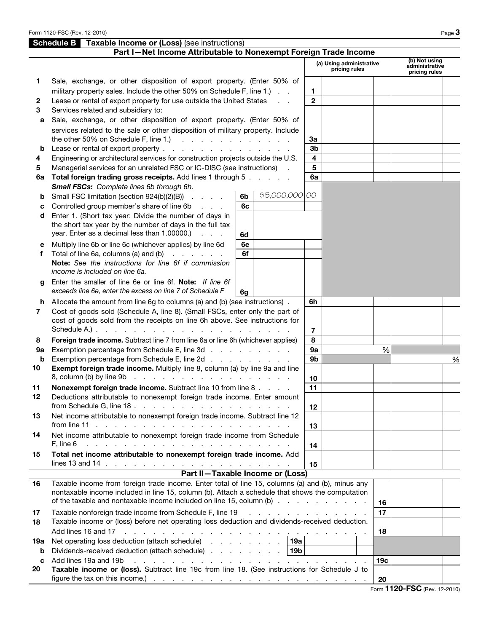|     | <b>Schedule B</b> Taxable Income or (Loss) (see instructions)                                                                                                                                                                              |    |                |                |                                              |                 |                                 |   |
|-----|--------------------------------------------------------------------------------------------------------------------------------------------------------------------------------------------------------------------------------------------|----|----------------|----------------|----------------------------------------------|-----------------|---------------------------------|---|
|     | Part I-Net Income Attributable to Nonexempt Foreign Trade Income                                                                                                                                                                           |    |                |                |                                              |                 | (b) Not using                   |   |
|     |                                                                                                                                                                                                                                            |    |                |                | (a) Using administrative<br>pricing rules    |                 | administrative<br>pricing rules |   |
| 1.  | Sale, exchange, or other disposition of export property. (Enter 50% of                                                                                                                                                                     |    |                |                |                                              |                 |                                 |   |
|     | military property sales. Include the other 50% on Schedule F, line 1.)                                                                                                                                                                     |    |                | 1.             |                                              |                 |                                 |   |
| 2   | Lease or rental of export property for use outside the United States                                                                                                                                                                       |    |                | $\mathbf{2}$   |                                              |                 |                                 |   |
| 3   | Services related and subsidiary to:                                                                                                                                                                                                        |    |                |                |                                              |                 |                                 |   |
| a   | Sale, exchange, or other disposition of export property. (Enter 50% of                                                                                                                                                                     |    |                |                |                                              |                 |                                 |   |
|     | services related to the sale or other disposition of military property. Include                                                                                                                                                            |    |                |                |                                              |                 |                                 |   |
|     | the other 50% on Schedule F, line 1.) $\ldots$ $\ldots$ $\ldots$ $\ldots$ $\ldots$                                                                                                                                                         |    |                | За             |                                              |                 |                                 |   |
| b   | Lease or rental of export property                                                                                                                                                                                                         |    |                | 3b             |                                              |                 |                                 |   |
| 4   | Engineering or architectural services for construction projects outside the U.S.                                                                                                                                                           |    |                | 4              |                                              |                 |                                 |   |
| 5   | Managerial services for an unrelated FSC or IC-DISC (see instructions).                                                                                                                                                                    |    |                | 5              |                                              |                 |                                 |   |
| 6a  | Total foreign trading gross receipts. Add lines 1 through 5                                                                                                                                                                                |    |                | 6a             |                                              |                 |                                 |   |
|     | Small FSCs: Complete lines 6b through 6h.                                                                                                                                                                                                  |    | \$5,000,000 00 |                |                                              |                 |                                 |   |
| b   | Small FSC limitation (section 924(b)(2)(B))                                                                                                                                                                                                | 6b |                |                |                                              |                 |                                 |   |
| c   | Controlled group member's share of line 6b<br><b>Service</b> State                                                                                                                                                                         | 6с |                |                |                                              |                 |                                 |   |
| d   | Enter 1. (Short tax year: Divide the number of days in<br>the short tax year by the number of days in the full tax                                                                                                                         |    |                |                |                                              |                 |                                 |   |
|     | year. Enter as a decimal less than 1.00000.)<br>$\mathcal{L}^{\text{max}}$ and $\mathcal{L}^{\text{max}}$                                                                                                                                  | 6d |                |                |                                              |                 |                                 |   |
| е   | Multiply line 6b or line 6c (whichever applies) by line 6d                                                                                                                                                                                 | 6e |                |                |                                              |                 |                                 |   |
| f   | Total of line 6a, columns (a) and (b) $\cdot \cdot \cdot \cdot$                                                                                                                                                                            | 6f |                |                |                                              |                 |                                 |   |
|     | Note: See the instructions for line 6f if commission                                                                                                                                                                                       |    |                |                |                                              |                 |                                 |   |
|     | income is included on line 6a.                                                                                                                                                                                                             |    |                |                |                                              |                 |                                 |   |
| g   | Enter the smaller of line 6e or line 6f. Note: If line 6f                                                                                                                                                                                  |    |                |                |                                              |                 |                                 |   |
|     | exceeds line 6e, enter the excess on line 7 of Schedule F                                                                                                                                                                                  | 6g |                |                |                                              |                 |                                 |   |
|     | h Allocate the amount from line 6g to columns (a) and (b) (see instructions).                                                                                                                                                              |    |                | 6h             |                                              |                 |                                 |   |
| 7   | Cost of goods sold (Schedule A, line 8). (Small FSCs, enter only the part of                                                                                                                                                               |    |                |                |                                              |                 |                                 |   |
|     | cost of goods sold from the receipts on line 6h above. See instructions for                                                                                                                                                                |    |                |                |                                              |                 |                                 |   |
|     |                                                                                                                                                                                                                                            |    |                | $\overline{7}$ |                                              |                 |                                 |   |
| 8   | Foreign trade income. Subtract line 7 from line 6a or line 6h (whichever applies)                                                                                                                                                          |    |                | 8              |                                              |                 |                                 |   |
| 9а  | Exemption percentage from Schedule E, line 3d                                                                                                                                                                                              |    |                | 9a             |                                              | %               |                                 |   |
| b   | Exemption percentage from Schedule E, line 2d<br>Exempt foreign trade income. Multiply line 8, column (a) by line 9a and line                                                                                                              |    |                | 9 <sub>b</sub> |                                              |                 |                                 | % |
| 10  |                                                                                                                                                                                                                                            |    |                |                |                                              |                 |                                 |   |
| 11  | Nonexempt foreign trade income. Subtract line 10 from line 8                                                                                                                                                                               |    |                | 10<br>11       |                                              |                 |                                 |   |
| 12  | Deductions attributable to nonexempt foreign trade income. Enter amount                                                                                                                                                                    |    |                |                |                                              |                 |                                 |   |
|     |                                                                                                                                                                                                                                            |    |                | 12             |                                              |                 |                                 |   |
| 13  | Net income attributable to nonexempt foreign trade income. Subtract line 12                                                                                                                                                                |    |                |                |                                              |                 |                                 |   |
|     |                                                                                                                                                                                                                                            |    |                | 13             |                                              |                 |                                 |   |
| 14  | Net income attributable to nonexempt foreign trade income from Schedule                                                                                                                                                                    |    |                |                |                                              |                 |                                 |   |
|     | a construction of the construction of the construction of the construction of the construction of the construction of the construction of the construction of the construction of the construction of the construction of the<br>F. line 6 |    |                | 14             |                                              |                 |                                 |   |
| 15  | Total net income attributable to nonexempt foreign trade income. Add                                                                                                                                                                       |    |                |                |                                              |                 |                                 |   |
|     | lines 13 and 14 $\ldots$ $\ldots$ $\ldots$ $\ldots$ $\ldots$ $\ldots$ $\ldots$ $\ldots$ $\ldots$ $\ldots$ $\ldots$                                                                                                                         |    |                | 15             |                                              |                 |                                 |   |
|     | Part II-Taxable Income or (Loss)                                                                                                                                                                                                           |    |                |                |                                              |                 |                                 |   |
| 16  | Taxable income from foreign trade income. Enter total of line 15, columns (a) and (b), minus any                                                                                                                                           |    |                |                |                                              |                 |                                 |   |
|     | nontaxable income included in line 15, column (b). Attach a schedule that shows the computation<br>of the taxable and nontaxable income included on line 15, column (b)                                                                    |    |                |                |                                              |                 |                                 |   |
|     |                                                                                                                                                                                                                                            |    |                |                |                                              | 16              |                                 |   |
| 17  | Taxable nonforeign trade income from Schedule F, line 19<br>Taxable income or (loss) before net operating loss deduction and dividends-received deduction.                                                                                 |    |                |                | and the contract of the contract of the con- | 17              |                                 |   |
| 18  |                                                                                                                                                                                                                                            |    |                |                |                                              | 18              |                                 |   |
| 19а | Net operating loss deduction (attach schedule) 19a                                                                                                                                                                                         |    |                |                |                                              |                 |                                 |   |
| b   | Dividends-received deduction (attach schedule) 19b                                                                                                                                                                                         |    |                |                |                                              |                 |                                 |   |
| C   | Add lines 19a and 19b                                                                                                                                                                                                                      |    |                |                |                                              | 19 <sub>c</sub> |                                 |   |
| 20  | Taxable income or (loss). Subtract line 19c from line 18. (See instructions for Schedule J to                                                                                                                                              |    |                |                |                                              |                 |                                 |   |
|     |                                                                                                                                                                                                                                            |    |                |                |                                              | 20              |                                 |   |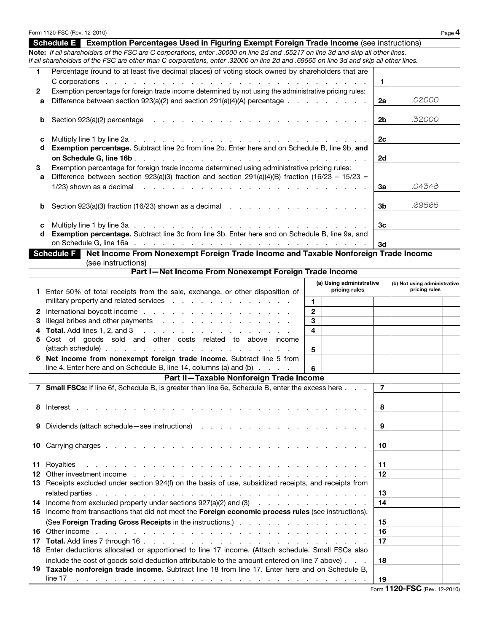|        | Form 1120-FSC (Rev. 12-2010)                                                                                                                                                                                                                                              |                              |                                           |                                               |             | Page 4 |
|--------|---------------------------------------------------------------------------------------------------------------------------------------------------------------------------------------------------------------------------------------------------------------------------|------------------------------|-------------------------------------------|-----------------------------------------------|-------------|--------|
|        | <b>Exemption Percentages Used in Figuring Exempt Foreign Trade Income (see instructions)</b><br><b>Schedule E</b>                                                                                                                                                         |                              |                                           |                                               |             |        |
|        | Note: If all shareholders of the FSC are C corporations, enter .30000 on line 2d and .65217 on line 3d and skip all other lines.<br>If all shareholders of the FSC are other than C corporations, enter .32000 on line 2d and .69565 on line 3d and skip all other lines. |                              |                                           |                                               |             |        |
| 1      | Percentage (round to at least five decimal places) of voting stock owned by shareholders that are                                                                                                                                                                         |                              |                                           |                                               |             |        |
|        |                                                                                                                                                                                                                                                                           |                              | 1                                         |                                               |             |        |
| 2<br>a | Exemption percentage for foreign trade income determined by not using the administrative pricing rules:<br>Difference between section $923(a)(2)$ and section $291(a)(4)(A)$ percentage $\ldots$                                                                          |                              | 2a                                        | .02000                                        |             |        |
| b      | Section 923(a)(2) percentage $\cdots$ $\cdots$ $\cdots$ $\cdots$ $\cdots$ $\cdots$ $\cdots$ $\cdots$ $\cdots$ $\cdots$                                                                                                                                                    |                              | 2 <sub>b</sub>                            | .32000                                        |             |        |
| c<br>d | Exemption percentage. Subtract line 2c from line 2b. Enter here and on Schedule B, line 9b, and                                                                                                                                                                           |                              | 2 <sub>c</sub>                            |                                               |             |        |
|        |                                                                                                                                                                                                                                                                           |                              | 2d                                        |                                               |             |        |
| З<br>a | Exemption percentage for foreign trade income determined using administrative pricing rules:<br>Difference between section 923(a)(3) fraction and section 291(a)(4)(B) fraction (16/23 - 15/23 =                                                                          |                              |                                           |                                               |             |        |
|        |                                                                                                                                                                                                                                                                           |                              |                                           | За                                            | .04348      |        |
| b      |                                                                                                                                                                                                                                                                           |                              |                                           | 3b                                            | .69565      |        |
|        |                                                                                                                                                                                                                                                                           |                              |                                           |                                               |             |        |
| C<br>d | Exemption percentage. Subtract line 3c from line 3b. Enter here and on Schedule B, line 9a, and                                                                                                                                                                           |                              |                                           | 3c                                            |             |        |
|        | Net Income From Nonexempt Foreign Trade Income and Taxable Nonforeign Trade Income<br><b>Schedule F</b>                                                                                                                                                                   |                              |                                           | 3d                                            |             |        |
|        | (see instructions)                                                                                                                                                                                                                                                        |                              |                                           |                                               |             |        |
|        | Part I-Net Income From Nonexempt Foreign Trade Income                                                                                                                                                                                                                     |                              |                                           |                                               |             |        |
| 1.     | Enter 50% of total receipts from the sale, exchange, or other disposition of                                                                                                                                                                                              |                              | (a) Using administrative<br>pricing rules | (b) Not using administrative<br>pricing rules |             |        |
|        | military property and related services                                                                                                                                                                                                                                    | 1.                           |                                           |                                               |             |        |
| 2      | International boycott income                                                                                                                                                                                                                                              | $\mathbf{2}$                 |                                           |                                               |             |        |
| з      | Illegal bribes and other payments<br><b>Total.</b> Add lines 1, 2, and 3 $\ldots$ $\ldots$ $\ldots$ $\ldots$ $\ldots$ $\ldots$ $\ldots$                                                                                                                                   | 3<br>$\overline{\mathbf{4}}$ |                                           |                                               |             |        |
| 5      | Cost of goods sold and other costs related to above income                                                                                                                                                                                                                |                              |                                           |                                               |             |        |
|        |                                                                                                                                                                                                                                                                           | 5                            |                                           |                                               |             |        |
|        | Net income from nonexempt foreign trade income. Subtract line 5 from<br>line 4. Enter here and on Schedule B, line 14, columns (a) and (b)                                                                                                                                | 6                            |                                           |                                               |             |        |
|        | Part II-Taxable Nonforeign Trade Income                                                                                                                                                                                                                                   |                              |                                           |                                               |             |        |
|        | 7 Small FSCs: If line 6f, Schedule B, is greater than line 6e, Schedule B, enter the excess here                                                                                                                                                                          |                              |                                           | $\overline{7}$                                |             |        |
|        |                                                                                                                                                                                                                                                                           |                              |                                           |                                               |             |        |
|        |                                                                                                                                                                                                                                                                           |                              |                                           | 8                                             |             |        |
| 9      |                                                                                                                                                                                                                                                                           |                              |                                           | 9                                             |             |        |
| 10     |                                                                                                                                                                                                                                                                           |                              |                                           | 10                                            |             |        |
| 11     | Royalties<br>12 Other investment income entering to the contract of the contract of the contract of the contract of the contract of the contract of the contract of the contract of the contract of the contract of the contract of the con                               |                              |                                           | 11<br>12                                      |             |        |
|        | 13 Receipts excluded under section 924(f) on the basis of use, subsidized receipts, and receipts from                                                                                                                                                                     |                              | 13                                        |                                               |             |        |
|        | 14 Income from excluded property under sections 927(a)(2) and (3)                                                                                                                                                                                                         |                              |                                           | 14                                            |             |        |
|        | 15 Income from transactions that did not meet the Foreign economic process rules (see instructions).                                                                                                                                                                      |                              |                                           | 15                                            |             |        |
|        |                                                                                                                                                                                                                                                                           |                              |                                           | 16                                            |             |        |
|        |                                                                                                                                                                                                                                                                           |                              |                                           | 17                                            |             |        |
|        | 18 Enter deductions allocated or apportioned to line 17 income. (Attach schedule. Small FSCs also                                                                                                                                                                         |                              |                                           |                                               |             |        |
|        | include the cost of goods sold deduction attributable to the amount entered on line 7 above).                                                                                                                                                                             |                              |                                           | 18                                            |             |        |
|        | 19 Taxable nonforeign trade income. Subtract line 18 from line 17. Enter here and on Schedule B,<br>line 17<br>القائم المنافر فالمنافر فالقارف والمنافر فالقارف فالمنافر فالقارف فالقارف فالقارف فالمنافر فالمنافر                                                        |                              |                                           | 19                                            | $-4400$ FCC |        |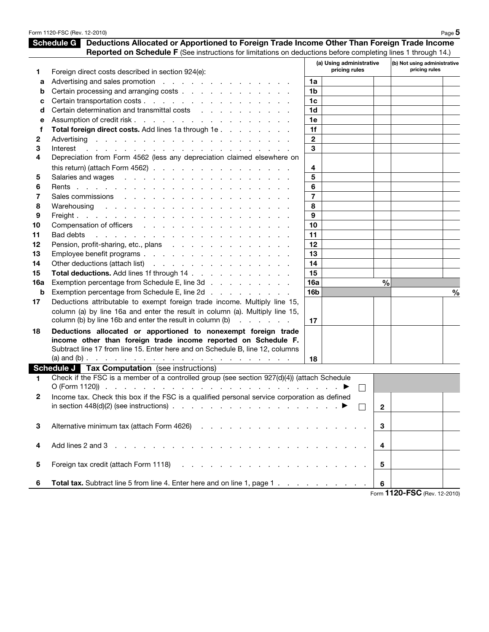|     | Form 1120-FSC (Rev. 12-2010)                                                                                                                                                                                                               |                 |                          |               |                              | Page 5        |
|-----|--------------------------------------------------------------------------------------------------------------------------------------------------------------------------------------------------------------------------------------------|-----------------|--------------------------|---------------|------------------------------|---------------|
|     | <b>Schedule G</b><br>Deductions Allocated or Apportioned to Foreign Trade Income Other Than Foreign Trade Income                                                                                                                           |                 |                          |               |                              |               |
|     | Reported on Schedule F (See instructions for limitations on deductions before completing lines 1 through 14.)                                                                                                                              |                 |                          |               |                              |               |
|     |                                                                                                                                                                                                                                            |                 | (a) Using administrative |               | (b) Not using administrative |               |
| 1   | Foreign direct costs described in section 924(e):                                                                                                                                                                                          |                 | pricing rules            |               | pricing rules                |               |
| а   | Advertising and sales promotion                                                                                                                                                                                                            | 1a              |                          |               |                              |               |
| b   | Certain processing and arranging costs                                                                                                                                                                                                     | 1b              |                          |               |                              |               |
| c   |                                                                                                                                                                                                                                            | 1 <sub>c</sub>  |                          |               |                              |               |
| d   | Certain determination and transmittal costs                                                                                                                                                                                                | 1d              |                          |               |                              |               |
| е   |                                                                                                                                                                                                                                            | 1e              |                          |               |                              |               |
| f   | Total foreign direct costs. Add lines 1a through 1e                                                                                                                                                                                        | 1f              |                          |               |                              |               |
| 2   |                                                                                                                                                                                                                                            | $\mathbf{2}$    |                          |               |                              |               |
| 3   | Interest<br>and the company of the company of the company of the company of the company of the company of the company of the company of the company of the company of the company of the company of the company of the company of the comp | 3               |                          |               |                              |               |
| 4   | Depreciation from Form 4562 (less any depreciation claimed elsewhere on                                                                                                                                                                    |                 |                          |               |                              |               |
|     | this return) (attach Form 4562) $\ldots$ $\ldots$ $\ldots$ $\ldots$ $\ldots$ $\ldots$ $\ldots$                                                                                                                                             | 4               |                          |               |                              |               |
| 5   |                                                                                                                                                                                                                                            | 5               |                          |               |                              |               |
| 6   |                                                                                                                                                                                                                                            | 6               |                          |               |                              |               |
| 7   |                                                                                                                                                                                                                                            | $\overline{7}$  |                          |               |                              |               |
| 8   |                                                                                                                                                                                                                                            | 8               |                          |               |                              |               |
| 9   |                                                                                                                                                                                                                                            | 9               |                          |               |                              |               |
| 10  |                                                                                                                                                                                                                                            | 10              |                          |               |                              |               |
|     |                                                                                                                                                                                                                                            | 11              |                          |               |                              |               |
| 11  |                                                                                                                                                                                                                                            |                 |                          |               |                              |               |
| 12  | Pension, profit-sharing, etc., plans                                                                                                                                                                                                       | 12              |                          |               |                              |               |
| 13  | Employee benefit programs                                                                                                                                                                                                                  | 13              |                          |               |                              |               |
| 14  | Other deductions (attach list)                                                                                                                                                                                                             | 14              |                          |               |                              |               |
| 15  | Total deductions. Add lines 1f through 14                                                                                                                                                                                                  | 15              |                          |               |                              |               |
| 16a | Exemption percentage from Schedule E, line 3d                                                                                                                                                                                              | 16a             |                          | $\frac{0}{0}$ |                              |               |
| b   | Exemption percentage from Schedule E, line 2d                                                                                                                                                                                              | 16 <sub>b</sub> |                          |               |                              | $\frac{0}{0}$ |
| 17  | Deductions attributable to exempt foreign trade income. Multiply line 15,                                                                                                                                                                  |                 |                          |               |                              |               |
|     | column (a) by line 16a and enter the result in column (a). Multiply line 15,                                                                                                                                                               |                 |                          |               |                              |               |
|     | column (b) by line 16b and enter the result in column (b) $\ldots$                                                                                                                                                                         | 17              |                          |               |                              |               |
| 18  | Deductions allocated or apportioned to nonexempt foreign trade                                                                                                                                                                             |                 |                          |               |                              |               |
|     | income other than foreign trade income reported on Schedule F.                                                                                                                                                                             |                 |                          |               |                              |               |
|     | Subtract line 17 from line 15. Enter here and on Schedule B, line 12, columns                                                                                                                                                              |                 |                          |               |                              |               |
|     |                                                                                                                                                                                                                                            | 18              |                          |               |                              |               |
|     | <b>Schedule J Tax Computation</b> (see instructions)                                                                                                                                                                                       |                 |                          |               |                              |               |
| 1.  | Check if the FSC is a member of a controlled group (see section 927(d)(4)) (attach Schedule                                                                                                                                                |                 |                          |               |                              |               |
|     |                                                                                                                                                                                                                                            |                 |                          |               |                              |               |
| 2   | Income tax. Check this box if the FSC is a qualified personal service corporation as defined                                                                                                                                               |                 |                          |               |                              |               |
|     | in section $448(d)(2)$ (see instructions) $\ldots$ $\ldots$ $\ldots$ $\ldots$ $\ldots$ $\ldots$                                                                                                                                            |                 | $\perp$                  | $\mathbf{2}$  |                              |               |
|     |                                                                                                                                                                                                                                            |                 |                          |               |                              |               |
| 3   |                                                                                                                                                                                                                                            |                 |                          | 3             |                              |               |
|     |                                                                                                                                                                                                                                            |                 |                          |               |                              |               |
| 4   |                                                                                                                                                                                                                                            |                 |                          | 4             |                              |               |
|     |                                                                                                                                                                                                                                            |                 |                          |               |                              |               |
| 5   |                                                                                                                                                                                                                                            |                 |                          | 5             |                              |               |
|     |                                                                                                                                                                                                                                            |                 |                          |               |                              |               |
| 6   | Total tax. Subtract line 5 from line 4. Enter here and on line 1, page 1                                                                                                                                                                   |                 |                          | 6             |                              |               |